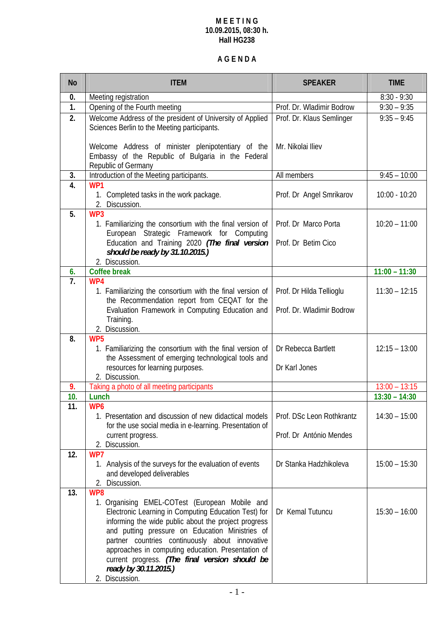### **M E E T I N G 10.09.2015, 08:30 h. Hall HG238**

# **A G E N D A**

| <b>No</b>        | <b>ITEM</b>                                                                                                                                                                                                                                                                                                                                                                                                                    | <b>SPEAKER</b>                              | <b>TIME</b>     |
|------------------|--------------------------------------------------------------------------------------------------------------------------------------------------------------------------------------------------------------------------------------------------------------------------------------------------------------------------------------------------------------------------------------------------------------------------------|---------------------------------------------|-----------------|
| 0.               | Meeting registration                                                                                                                                                                                                                                                                                                                                                                                                           |                                             | $8:30 - 9:30$   |
| $\mathbf{1}$ .   | Opening of the Fourth meeting                                                                                                                                                                                                                                                                                                                                                                                                  | Prof. Dr. Wladimir Bodrow                   | $9:30 - 9:35$   |
| 2.               | Welcome Address of the president of University of Applied<br>Sciences Berlin to the Meeting participants.                                                                                                                                                                                                                                                                                                                      | Prof. Dr. Klaus Semlinger                   | $9:35 - 9:45$   |
|                  | Welcome Address of minister plenipotentiary of the<br>Embassy of the Republic of Bulgaria in the Federal<br>Republic of Germany                                                                                                                                                                                                                                                                                                | Mr. Nikolai Iliev                           |                 |
| 3.               | Introduction of the Meeting participants.                                                                                                                                                                                                                                                                                                                                                                                      | All members                                 | $9:45 - 10:00$  |
| $\overline{4}$ . | WP1<br>1. Completed tasks in the work package.<br>2. Discussion.                                                                                                                                                                                                                                                                                                                                                               | Prof. Dr Angel Smrikarov                    | $10:00 - 10:20$ |
| 5.               | WP3<br>1. Familiarizing the consortium with the final version of<br>European Strategic Framework for Computing<br>Education and Training 2020 (The final version                                                                                                                                                                                                                                                               | Prof. Dr Marco Porta<br>Prof. Dr Betim Cico | $10:20 - 11:00$ |
|                  | should be ready by 31.10.2015.)<br>2. Discussion.                                                                                                                                                                                                                                                                                                                                                                              |                                             |                 |
| 6.               | <b>Coffee break</b>                                                                                                                                                                                                                                                                                                                                                                                                            |                                             | $11:00 - 11:30$ |
| 7.               | WP4<br>1. Familiarizing the consortium with the final version of<br>the Recommendation report from CEQAT for the                                                                                                                                                                                                                                                                                                               | Prof. Dr Hilda Tellioglu                    | $11:30 - 12:15$ |
|                  | Evaluation Framework in Computing Education and<br>Training.<br>2. Discussion.                                                                                                                                                                                                                                                                                                                                                 | Prof. Dr. Wladimir Bodrow                   |                 |
| 8.               | WP <sub>5</sub><br>1. Familiarizing the consortium with the final version of<br>the Assessment of emerging technological tools and                                                                                                                                                                                                                                                                                             | Dr Rebecca Bartlett                         | $12:15 - 13:00$ |
|                  | resources for learning purposes.<br>2. Discussion.                                                                                                                                                                                                                                                                                                                                                                             | Dr Karl Jones                               |                 |
| 9.               | Taking a photo of all meeting participants                                                                                                                                                                                                                                                                                                                                                                                     |                                             | $13:00 - 13:15$ |
| 10.              | Lunch                                                                                                                                                                                                                                                                                                                                                                                                                          |                                             | $13:30 - 14:30$ |
| 11.              | WP <sub>6</sub><br>1. Presentation and discussion of new didactical models<br>for the use social media in e-learning. Presentation of                                                                                                                                                                                                                                                                                          | Prof. DSc Leon Rothkrantz                   | $14:30 - 15:00$ |
|                  | current progress.<br>2. Discussion.                                                                                                                                                                                                                                                                                                                                                                                            | Prof. Dr António Mendes                     |                 |
| 12.              | WP7<br>1. Analysis of the surveys for the evaluation of events<br>and developed deliverables<br>2. Discussion.                                                                                                                                                                                                                                                                                                                 | Dr Stanka Hadzhikoleva                      | $15:00 - 15:30$ |
| 13.              | WP8<br>1. Organising EMEL-COTest (European Mobile and<br>Electronic Learning in Computing Education Test) for<br>informing the wide public about the project progress<br>and putting pressure on Education Ministries of<br>partner countries continuously about innovative<br>approaches in computing education. Presentation of<br>current progress. (The final version should be<br>ready by 30.11.2015.)<br>2. Discussion. | Dr Kemal Tutuncu                            | $15:30 - 16:00$ |